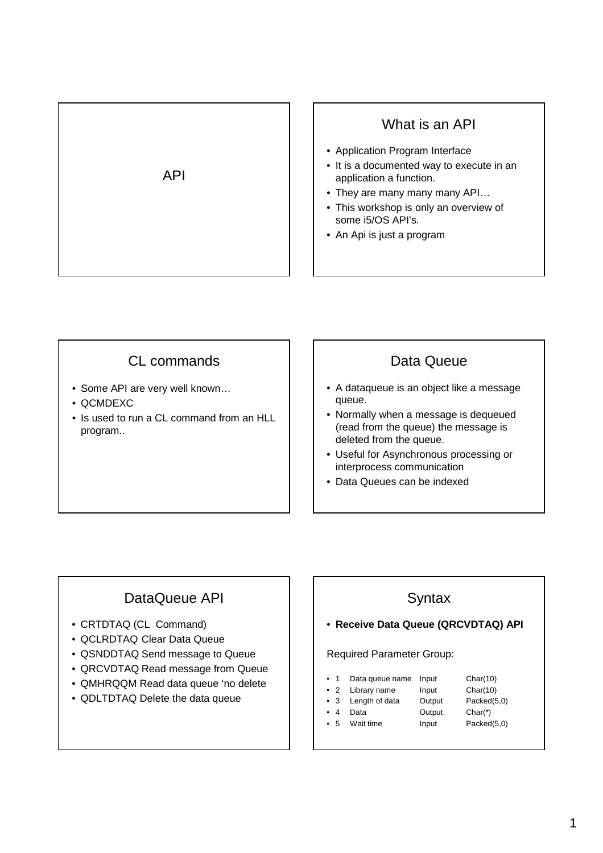



- Some API are very well known…
- QCMDEXC
- Is used to run a CL command from an HLL program..

### Data Queue

- A dataqueue is an object like a message queue.
- Normally when a message is dequeued (read from the queue) the message is deleted from the queue.
- Useful for Asynchronous processing or interprocess communication
- Data Queues can be indexed

# DataQueue API

- CRTDTAQ (CL Command)
- QCLRDTAQ Clear Data Queue
- QSNDDTAQ Send message to Queue
- QRCVDTAQ Read message from Queue
- QMHRQQM Read data queue 'no delete
- QDLTDTAQ Delete the data queue

## **Syntax**

• **Receive Data Queue (QRCVDTAQ) API**

#### Required Parameter Group:

- 1 Data queue name Input Char(10)
- 2 Library name Input Char(10)
- 3 Length of data Output Packed(5,0)
- 4 Data Output Char(\*)
- 5 Wait time Input Packed(5,0)
	-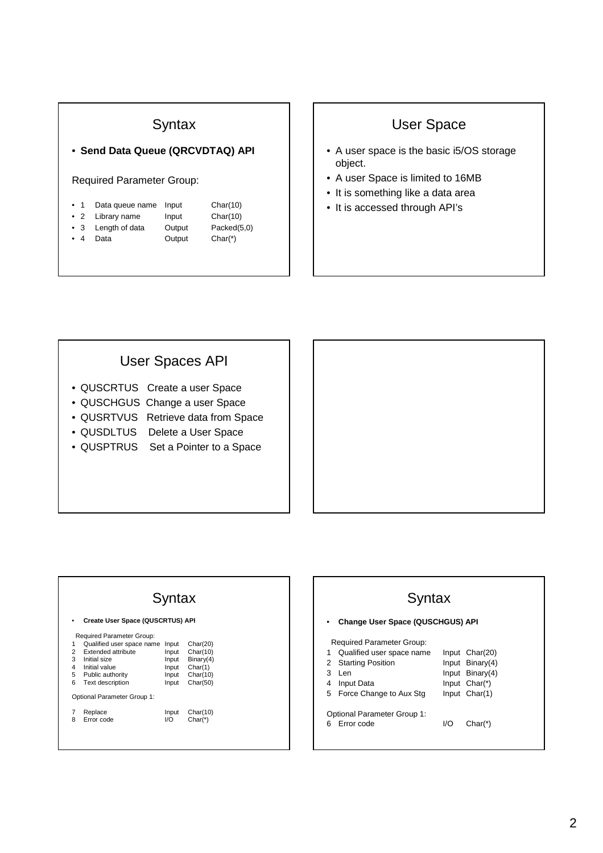#### **Syntax**

• **Send Data Queue (QRCVDTAQ) API**

#### Required Parameter Group:

| $\bullet$ 1 | Data queue name    | Input  | Char(10)    |
|-------------|--------------------|--------|-------------|
|             | • 2 Library name   | Input  | Char(10)    |
|             | • 3 Length of data | Output | Packed(5,0) |
| $\bullet$ 4 | Data               | Output | $Char*$     |

# User Space

- A user space is the basic i5/OS storage object.
- A user Space is limited to 16MB
- It is something like a data area
- It is accessed through API's

#### User Spaces API

- QUSCRTUS Create a user Space
- QUSCHGUS Change a user Space
- QUSRTVUS Retrieve data from Space
- QUSDLTUS Delete a User Space
- QUSPTRUS Set a Pointer to a Space

#### **Syntax** • **Create User Space (QUSCRTUS) API** Required Parameter Group: 1 Qualified user space name Input Char(20) 2 Extended attribute Input Char(10) 3 Initial size Input Binary(4)<br>4 Initial value Input Binary(4)<br>5 Public authority Input Char(10) 4 Initial value Input<br>5 Public authority Input 5 Public authority<br>
6 Text description<br>
1 Input Char(50) Text description Optional Parameter Group 1:

| 7 Replace<br>8 Error code | I/O | Input Char(10)<br>Char(*) |
|---------------------------|-----|---------------------------|
|                           |     |                           |



| Syntax                      |                                         |  |                 |  |  |
|-----------------------------|-----------------------------------------|--|-----------------|--|--|
|                             | <b>Change User Space (QUSCHGUS) API</b> |  |                 |  |  |
|                             | <b>Required Parameter Group:</b>        |  |                 |  |  |
| 1                           | Qualified user space name               |  | Input Char(20)  |  |  |
|                             | 2 Starting Position                     |  | Input Binary(4) |  |  |
| 3                           | l en                                    |  | Input Binary(4) |  |  |
| 4                           | <b>Input Data</b>                       |  | Input $Char(*)$ |  |  |
|                             | 5 Force Change to Aux Stg               |  | Input Char(1)   |  |  |
| Optional Parameter Group 1: |                                         |  |                 |  |  |

6 Error code I/O Char(\*)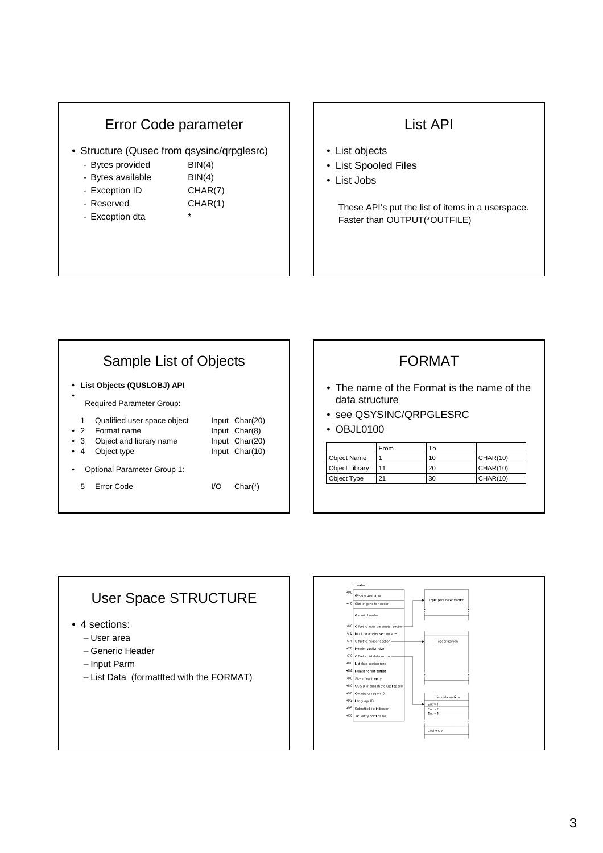#### Error Code parameter

- Structure (Qusec from qsysinc/qrpglesrc)
	- Bytes provided BIN(4)
	- Bytes available BIN(4)
	- Exception ID CHAR(7)
		-
	- Reserved CHAR(1)
	- Exception dta

#### List API

- List objects
- List Spooled Files
- List Jobs

These API's put the list of items in a userspace. Faster than OUTPUT(\*OUTFILE)

#### Sample List of Objects • **List Objects (QUSLOBJ) API** • Required Parameter Group: 1 Qualified user space object Input Char(20) • 2 Format name Input Char(8) • 3 Object and library name Input Char(20) • 4 Object type Input Char(10) • Optional Parameter Group 1: 5 Error Code I/O Char(\*)

## FORMAT

- The name of the Format is the name of the data structure
- see QSYSINC/QRPGLESRC
- OBJL0100

|                | From | Т٥ |                 |
|----------------|------|----|-----------------|
| Object Name    |      | 10 | CHAR(10)        |
| Object Library | 11   | 20 | <b>CHAR(10)</b> |
| Object Type    |      | 30 | CHAR(10)        |

# User Space STRUCTURE

- 4 sections:
	- User area
	- Generic Header
	- Input Parm
	- List Data (formattted with the FORMAT)

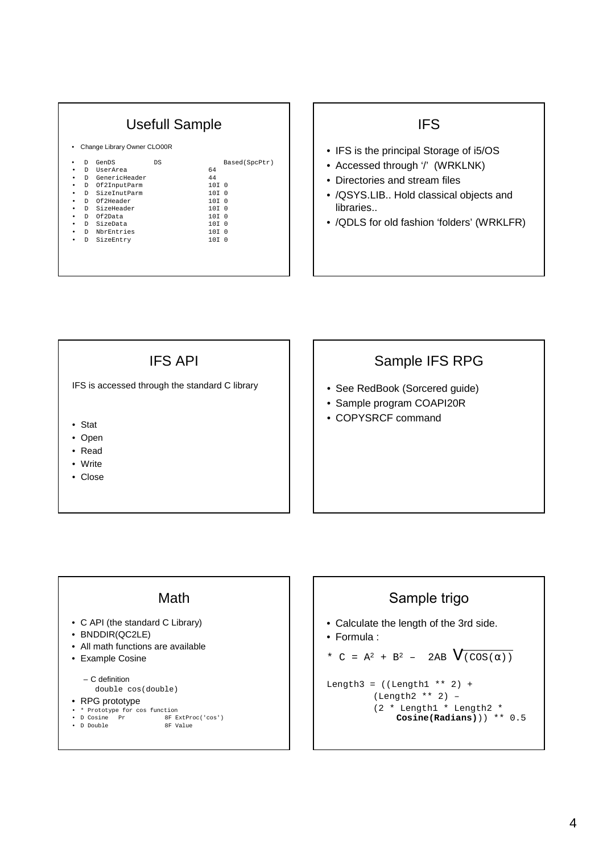## Usefull Sample

| Change Library Owner CLO00R<br>$\bullet$ |    |               |    |  |                  |                |
|------------------------------------------|----|---------------|----|--|------------------|----------------|
| ٠                                        | D  | GenDS         | DS |  |                  | Based (SpcPtr) |
| ٠                                        | D. | UserArea      |    |  | 64               |                |
| ٠                                        | D. | GenericHeader |    |  | 44               |                |
| ٠                                        | D. | Of2InputParm  |    |  | 10T <sub>0</sub> |                |
| ٠                                        | D. | SizeInutParm  |    |  | 10T <sub>0</sub> |                |
| ٠                                        |    | D Of2Header   |    |  | 10T <sub>0</sub> |                |
| ٠                                        |    | D SizeHeader  |    |  | 10T <sub>0</sub> |                |
| ٠                                        | D. | Of2Data       |    |  | 10T <sub>0</sub> |                |
| ٠                                        | D. | SizeData      |    |  | 10T <sub>0</sub> |                |
| ٠                                        | D. | NbrEntries    |    |  | 10T <sub>0</sub> |                |
| ٠                                        | D  | SizeEntry     |    |  | 10T <sub>0</sub> |                |
|                                          |    |               |    |  |                  |                |

## **IFS**

- IFS is the principal Storage of i5/OS
- Accessed through '/' (WRKLNK)
- Directories and stream files
- /QSYS.LIB.. Hold classical objects and libraries..
- /QDLS for old fashion 'folders' (WRKLFR)

IFS API

IFS is accessed through the standard C library

- Stat
- Open
- Read
- Write
- Close

### Sample IFS RPG

- See RedBook (Sorcered guide)
- Sample program COAPI20R
- COPYSRCF command

#### Math

- C API (the standard C Library)
- BNDDIR(QC2LE)
- All math functions are available
- Example Cosine
	- C definition

double cos(double)

- RPG prototype
- 
- \* Prototype for cos function<br>• D Cosine Pr 8F E ecrone<br>
8F ExtProc('cos')<br>
8F Value • D Double

# Sample trigo • Calculate the length of the 3rd side. • Formula : \* C =  $A^2 + B^2 - 2AB \sqrt{(COS(\alpha))}$ Length3 =  $((Length1 ** 2) +$ (Length2 \*\* 2) – (2 \* Length1 \* Length2 \* **Cosine(Radians)**)) \*\* 0.5